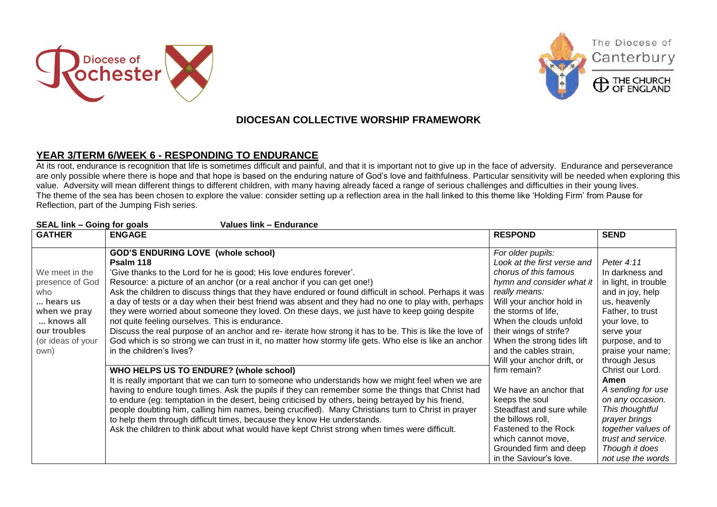





The Diocese of

Canterbury

## **DIOCESAN COLLECTIVE WORSHIP FRAMEWORK**

## **YEAR 3/TERM 6/WEEK 6 - RESPONDING TO ENDURANCE**

At its root, endurance is recognition that life is sometimes difficult and painful, and that it is important not to give up in the face of adversity. Endurance and perseverance are only possible where there is hope and that hope is based on the enduring nature of God's love and faithfulness. Particular sensitivity will be needed when exploring this value. Adversity will mean different things to different children, with many having already faced a range of serious challenges and difficulties in their young lives. The theme of the sea has been chosen to explore the value: consider setting up a reflection area in the hall linked to this theme like 'Holding Firm' from Pause for Reflection, part of the Jumping Fish series.

| <b>SEAL link - Going for goals</b><br><b>Values link - Endurance</b> |                                                                                                        |                             |                      |  |  |
|----------------------------------------------------------------------|--------------------------------------------------------------------------------------------------------|-----------------------------|----------------------|--|--|
| <b>GATHER</b>                                                        | <b>ENGAGE</b>                                                                                          | <b>RESPOND</b>              | <b>SEND</b>          |  |  |
|                                                                      |                                                                                                        |                             |                      |  |  |
|                                                                      | <b>GOD'S ENDURING LOVE (whole school)</b>                                                              | For older pupils:           |                      |  |  |
|                                                                      | Psalm 118                                                                                              | Look at the first verse and | Peter 4:11           |  |  |
| We meet in the                                                       | 'Give thanks to the Lord for he is good; His love endures forever'.                                    | chorus of this famous       | In darkness and      |  |  |
| presence of God                                                      | Resource: a picture of an anchor (or a real anchor if you can get one!)                                | hymn and consider what it   | in light, in trouble |  |  |
| who                                                                  | Ask the children to discuss things that they have endured or found difficult in school. Perhaps it was | really means:               | and in joy, help     |  |  |
| hears us                                                             | a day of tests or a day when their best friend was absent and they had no one to play with, perhaps    | Will your anchor hold in    | us, heavenly         |  |  |
| when we pray                                                         | they were worried about someone they loved. On these days, we just have to keep going despite          | the storms of life,         | Father, to trust     |  |  |
| knows all                                                            | not quite feeling ourselves. This is endurance.                                                        | When the clouds unfold      | your love, to        |  |  |
| our troubles                                                         | Discuss the real purpose of an anchor and re-iterate how strong it has to be. This is like the love of | their wings of strife?      | serve your           |  |  |
| (or ideas of your                                                    | God which is so strong we can trust in it, no matter how stormy life gets. Who else is like an anchor  | When the strong tides lift  | purpose, and to      |  |  |
| own)                                                                 | in the children's lives?                                                                               | and the cables strain,      | praise your name;    |  |  |
|                                                                      |                                                                                                        | Will your anchor drift, or  | through Jesus        |  |  |
|                                                                      | WHO HELPS US TO ENDURE? (whole school)                                                                 | firm remain?                | Christ our Lord.     |  |  |
|                                                                      | It is really important that we can turn to someone who understands how we might feel when we are       |                             | Amen                 |  |  |
|                                                                      | having to endure tough times. Ask the pupils if they can remember some the things that Christ had      | We have an anchor that      | A sending for use    |  |  |
|                                                                      | to endure (eg: temptation in the desert, being criticised by others, being betrayed by his friend,     | keeps the soul              | on any occasion.     |  |  |
|                                                                      | people doubting him, calling him names, being crucified). Many Christians turn to Christ in prayer     | Steadfast and sure while    | This thoughtful      |  |  |
|                                                                      | to help them through difficult times, because they know He understands.                                | the billows roll,           | prayer brings        |  |  |
|                                                                      | Ask the children to think about what would have kept Christ strong when times were difficult.          | Fastened to the Rock        | together values of   |  |  |
|                                                                      |                                                                                                        | which cannot move,          | trust and service.   |  |  |
|                                                                      |                                                                                                        | Grounded firm and deep      | Though it does       |  |  |
|                                                                      |                                                                                                        | in the Saviour's love.      | not use the words    |  |  |